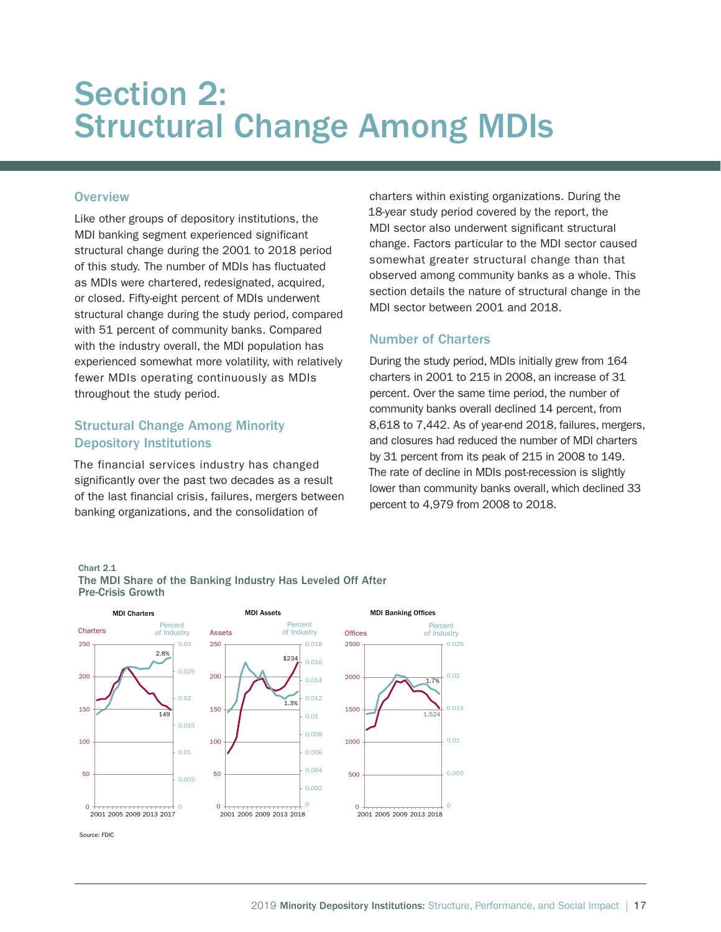# Section 2: Structural Change Among MDIs

## **Overview**

Like other groups of depository institutions, the MDI banking segment experienced significant structural change during the 2001 to 2018 period of this study. The number of MDIs has fluctuated as MDIs were chartered, redesignated, acquired, or closed. Fifty-eight percent of MDIs underwent structural change during the study period, compared with 51 percent of community banks. Compared with the industry overall, the MDI population has experienced somewhat more volatility, with relatively fewer MDIs operating continuously as MDIs throughout the study period.

# Structural Change Among Minority Depository Institutions

The financial services industry has changed significantly over the past two decades as a result of the last financial crisis, failures, mergers between banking organizations, and the consolidation of

charters within existing organizations. During the 18-year study period covered by the report, the MDI sector also underwent significant structural change. Factors particular to the MDI sector caused somewhat greater structural change than that observed among community banks as a whole. This section details the nature of structural change in the MDI sector between 2001 and 2018.

# Number of Charters

During the study period, MDIs initially grew from 164 charters in 2001 to 215 in 2008, an increase of 31 percent. Over the same time period, the number of community banks overall declined 14 percent, from 8,618 to 7,442. As of year-end 2018, failures, mergers, and closures had reduced the number of MDI charters by 31 percent from its peak of 215 in 2008 to 149. The rate of decline in MDIs post-recession is slightly lower than community banks overall, which declined 33 percent to 4,979 from 2008 to 2018.

### Chart 2.1 The MDI Share of the Banking Industry Has Leveled Off After Pre-Crisis Growth

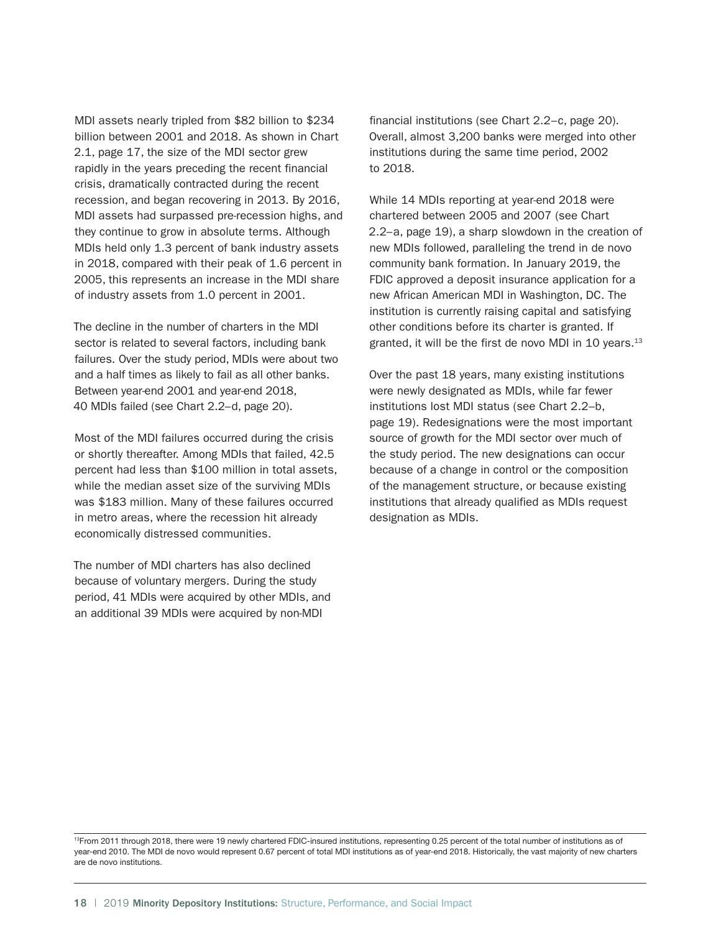MDI assets nearly tripled from \$82 billion to \$234 billion between 2001 and 2018. As shown in Chart 2.1, page 17, the size of the MDI sector grew rapidly in the years preceding the recent financial crisis, dramatically contracted during the recent recession, and began recovering in 2013. By 2016, MDI assets had surpassed pre-recession highs, and they continue to grow in absolute terms. Although MDIs held only 1.3 percent of bank industry assets in 2018, compared with their peak of 1.6 percent in 2005, this represents an increase in the MDI share of industry assets from 1.0 percent in 2001.

The decline in the number of charters in the MDI sector is related to several factors, including bank failures. Over the study period, MDIs were about two and a half times as likely to fail as all other banks. Between year-end 2001 and year-end 2018, 40 MDIs failed (see Chart 2.2–d, page 20).

Most of the MDI failures occurred during the crisis or shortly thereafter. Among MDIs that failed, 42.5 percent had less than \$100 million in total assets, while the median asset size of the surviving MDIs was \$183 million. Many of these failures occurred in metro areas, where the recession hit already economically distressed communities.

The number of MDI charters has also declined because of voluntary mergers. During the study period, 41 MDIs were acquired by other MDIs, and an additional 39 MDIs were acquired by non-MDI

financial institutions (see Chart 2.2–c, page 20). Overall, almost 3,200 banks were merged into other institutions during the same time period, 2002 to 2018.

While 14 MDIs reporting at year-end 2018 were chartered between 2005 and 2007 (see Chart 2.2–a, page 19), a sharp slowdown in the creation of new MDIs followed, paralleling the trend in de novo community bank formation. In January 2019, the FDIC approved a deposit insurance application for a new African American MDI in Washington, DC. The institution is currently raising capital and satisfying other conditions before its charter is granted. If granted, it will be the first de novo MDI in 10 years.<sup>13</sup>

Over the past 18 years, many existing institutions were newly designated as MDIs, while far fewer institutions lost MDI status (see Chart 2.2–b, page 19). Redesignations were the most important source of growth for the MDI sector over much of the study period. The new designations can occur because of a change in control or the composition of the management structure, or because existing institutions that already qualified as MDIs request designation as MDIs.

13From 2011 through 2018, there were 19 newly chartered FDIC-insured institutions, representing 0.25 percent of the total number of institutions as of year-end 2010. The MDI de novo would represent 0.67 percent of total MDI institutions as of year-end 2018. Historically, the vast majority of new charters are de novo institutions.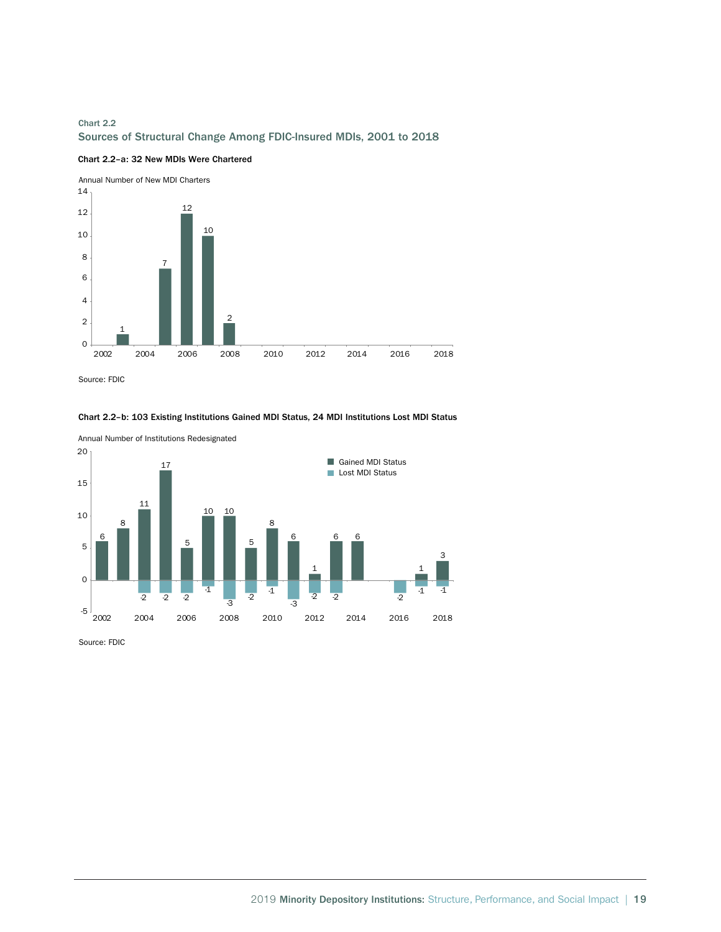# Chart 2.2 Sources of Structural Change Among FDIC-Insured MDIs, 2001 to 2018





Source: FDIC





Annual Number of Institutions Redesignated

Source: FDIC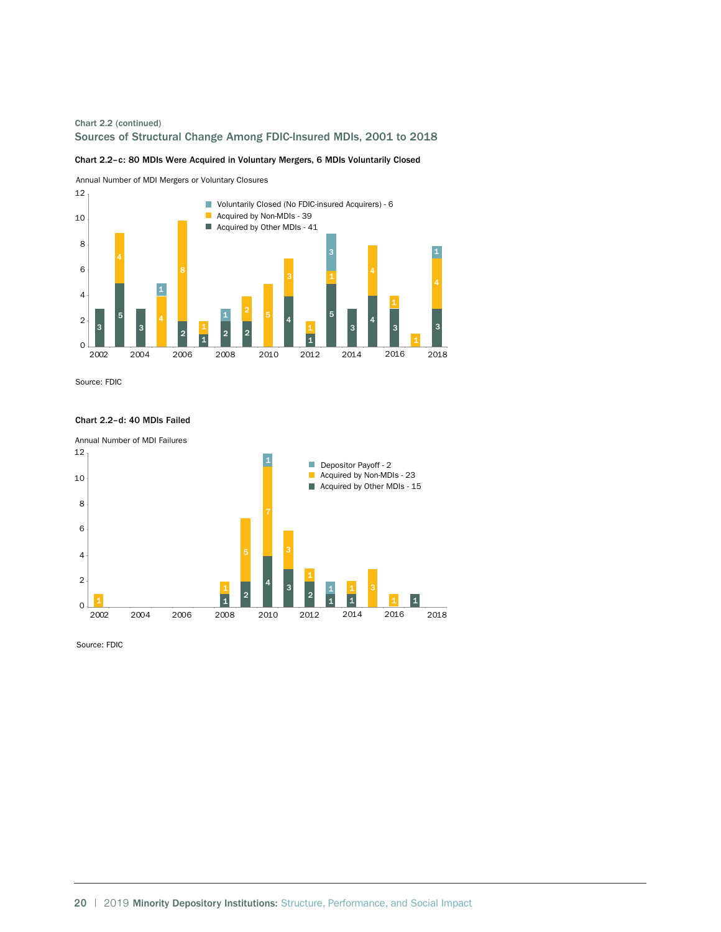## Chart 2.2 (continued) Sources of Structural Change Among FDIC-Insured MDIs, 2001 to 2018

Chart 2.2–c: 80 MDIs Were Acquired in Voluntary Mergers, 6 MDIs Voluntarily Closed

Annual Number of MDI Mergers or Voluntary Closures



Source: FDIC



#### Chart 2.2–d: 40 MDIs Failed

Source: FDIC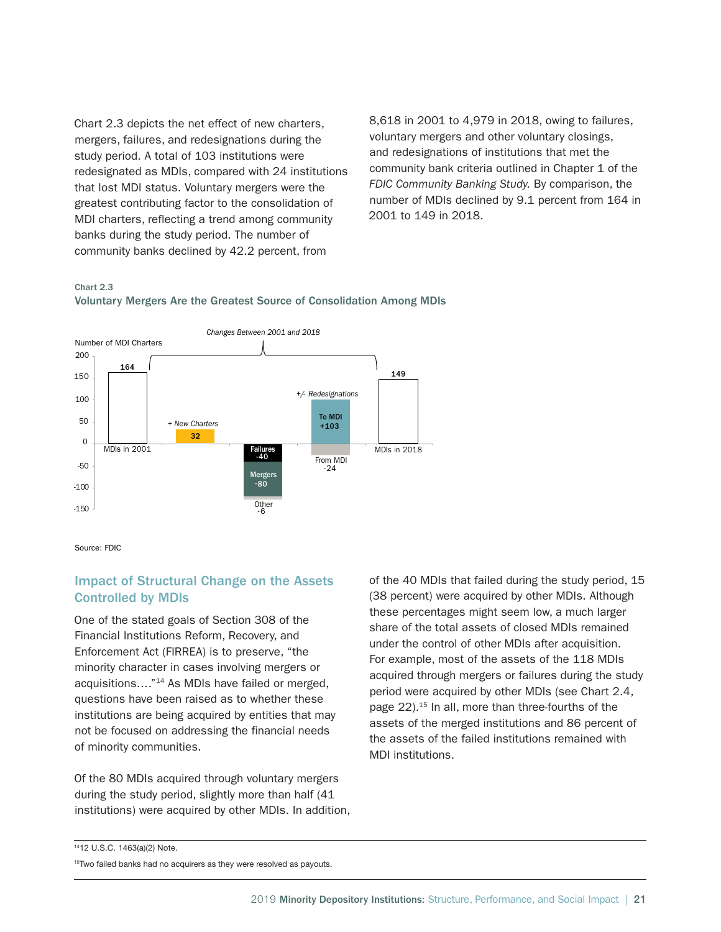Chart 2.3 depicts the net effect of new charters, mergers, failures, and redesignations during the study period. A total of 103 institutions were redesignated as MDIs, compared with 24 institutions that lost MDI status. Voluntary mergers were the greatest contributing factor to the consolidation of MDI charters, reflecting a trend among community banks during the study period. The number of community banks declined by 42.2 percent, from

8,618 in 2001 to 4,979 in 2018, owing to failures, voluntary mergers and other voluntary closings, and redesignations of institutions that met the community bank criteria outlined in Chapter 1 of the *FDIC Community Banking Study.* By comparison, the number of MDIs declined by 9.1 percent from 164 in 2001 to 149 in 2018.

#### Chart 2.3



Voluntary Mergers Are the Greatest Source of Consolidation Among MDIs

Source: FDIC

# Impact of Structural Change on the Assets Controlled by MDIs

One of the stated goals of Section 308 of the Financial Institutions Reform, Recovery, and Enforcement Act (FIRREA) is to preserve, "the minority character in cases involving mergers or acquisitions…."14 As MDIs have failed or merged, questions have been raised as to whether these institutions are being acquired by entities that may not be focused on addressing the financial needs of minority communities.

Of the 80 MDIs acquired through voluntary mergers during the study period, slightly more than half (41 institutions) were acquired by other MDIs. In addition, of the 40 MDIs that failed during the study period, 15 (38 percent) were acquired by other MDIs. Although these percentages might seem low, a much larger share of the total assets of closed MDIs remained under the control of other MDIs after acquisition. For example, most of the assets of the 118 MDIs acquired through mergers or failures during the study period were acquired by other MDIs (see Chart 2.4, page 22).<sup>15</sup> In all, more than three-fourths of the assets of the merged institutions and 86 percent of the assets of the failed institutions remained with MDI institutions.

<sup>1412</sup> U.S.C. 1463(a)(2) Note.

<sup>&</sup>lt;sup>15</sup>Two failed banks had no acquirers as they were resolved as payouts.